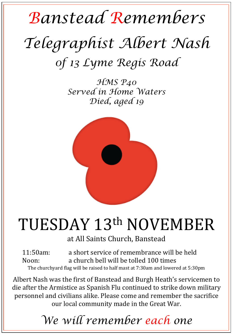## *Banstead Remembers Telegraphist Albert Nash 0f 13 Lyme Regis Road*

*HMS P40 Served in Home Waters Died, aged 19* 



## TUESDAY 13th NOVEMBER

at All Saints Church, Banstead

11:50am: a short service of remembrance will be held Noon: a church bell will be tolled 100 times The churchyard flag will be raised to half mast at 7:30am and lowered at 5:30pm

Albert Nash was the first of Banstead and Burgh Heath's servicemen to die after the Armistice as Spanish Flu continued to strike down military personnel and civilians alike. Please come and remember the sacrifice our local community made in the Great War.

*We will remember each one*